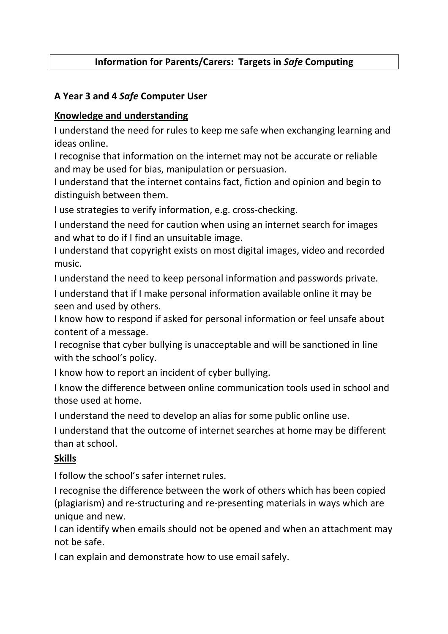# Information for Parents/Carers: Targets in Safe Computing

## A Year 3 and 4 Safe Computer User

### Knowledge and understanding

I understand the need for rules to keep me safe when exchanging learning and ideas online.

I recognise that information on the internet may not be accurate or reliable and may be used for bias, manipulation or persuasion.

I understand that the internet contains fact, fiction and opinion and begin to distinguish between them.

I use strategies to verify information, e.g. cross-checking.

I understand the need for caution when using an internet search for images and what to do if I find an unsuitable image.

I understand that copyright exists on most digital images, video and recorded music.

I understand the need to keep personal information and passwords private.

I understand that if I make personal information available online it may be seen and used by others.

I know how to respond if asked for personal information or feel unsafe about content of a message.

I recognise that cyber bullying is unacceptable and will be sanctioned in line with the school's policy.

I know how to report an incident of cyber bullying.

I know the difference between online communication tools used in school and those used at home.

I understand the need to develop an alias for some public online use.

I understand that the outcome of internet searches at home may be different than at school.

### Skills

I follow the school's safer internet rules.

I recognise the difference between the work of others which has been copied (plagiarism) and re-structuring and re-presenting materials in ways which are unique and new.

I can identify when emails should not be opened and when an attachment may not be safe.

I can explain and demonstrate how to use email safely.